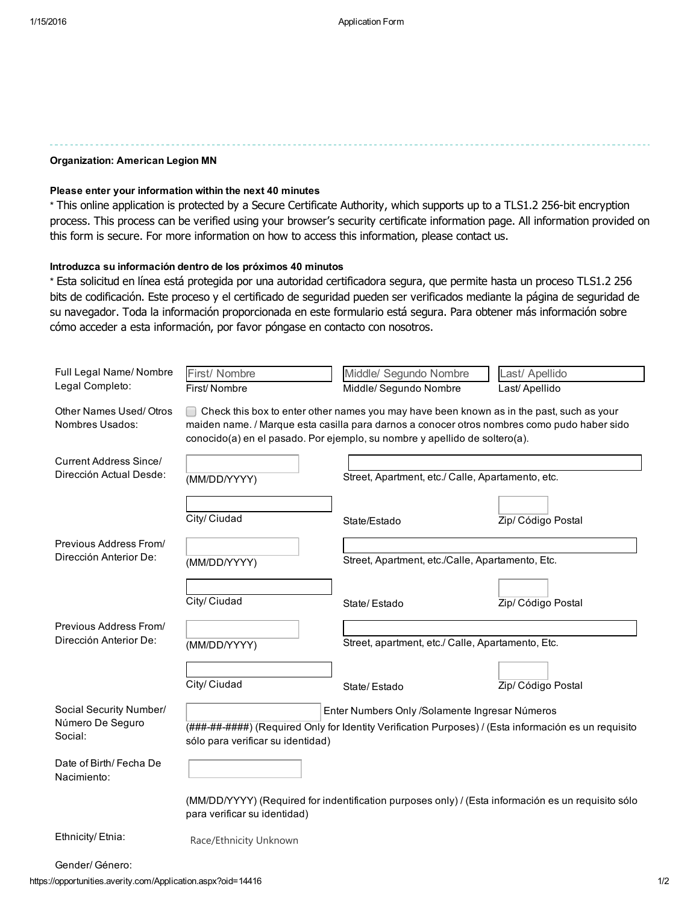### Organization: American Legion MN

### Please enter your information within the next 40 minutes

\* This online application is protected by a Secure Certificate Authority, which supports up to a TLS1.2 256-bit encryption process. This process can be verified using your browser's security certificate information page. All information provided on this form is secure. For more information on how to access this information, please contact us.

### Introduzca su información dentro de los próximos 40 minutos

\* Esta solicitud en línea está protegida por una autoridad certificadora segura, que permite hasta un proceso TLS1.2 256 bits de codificación. Este proceso y el certificado de seguridad pueden ser verificados mediante la página de seguridad de su navegador. Toda la información proporcionada en este formulario está segura. Para obtener más información sobre cómo acceder a esta información, por favor póngase en contacto con nosotros.

| Full Legal Name/ Nombre                                  | First/ Nombre                     | Middle/ Segundo Nombre                                                                                                                                                                                                                                                | Last/ Apellido     |
|----------------------------------------------------------|-----------------------------------|-----------------------------------------------------------------------------------------------------------------------------------------------------------------------------------------------------------------------------------------------------------------------|--------------------|
| Legal Completo:                                          | First/Nombre                      | Middle/ Segundo Nombre                                                                                                                                                                                                                                                | Last/ Apellido     |
| Other Names Used/Otros<br>Nombres Usados:                |                                   | Check this box to enter other names you may have been known as in the past, such as your<br>maiden name. / Marque esta casilla para darnos a conocer otros nombres como pudo haber sido<br>conocido(a) en el pasado. Por ejemplo, su nombre y apellido de soltero(a). |                    |
| <b>Current Address Since/</b><br>Dirección Actual Desde: | (MM/DD/YYYY)                      | Street, Apartment, etc./ Calle, Apartamento, etc.                                                                                                                                                                                                                     |                    |
|                                                          | City/ Ciudad                      | State/Estado                                                                                                                                                                                                                                                          | Zip/ Código Postal |
| Previous Address From/<br>Dirección Anterior De:         | (MM/DD/YYYY)                      | Street, Apartment, etc./Calle, Apartamento, Etc.                                                                                                                                                                                                                      |                    |
|                                                          | City/ Ciudad                      | State/Estado                                                                                                                                                                                                                                                          | Zip/ Código Postal |
| Previous Address From/<br>Dirección Anterior De:         | (MM/DD/YYYY)                      | Street, apartment, etc./ Calle, Apartamento, Etc.                                                                                                                                                                                                                     |                    |
|                                                          | City/ Ciudad                      | State/Estado                                                                                                                                                                                                                                                          | Zip/ Código Postal |
| Social Security Number/<br>Número De Seguro<br>Social:   | sólo para verificar su identidad) | Enter Numbers Only /Solamente Ingresar Números<br>(###-##-####) (Required Only for Identity Verification Purposes) / (Esta información es un requisito                                                                                                                |                    |
| Date of Birth/Fecha De<br>Nacimiento:                    |                                   |                                                                                                                                                                                                                                                                       |                    |
|                                                          | para verificar su identidad)      | (MM/DD/YYYY) (Required for indentification purposes only) / (Esta información es un requisito sólo                                                                                                                                                                    |                    |
| Ethnicity/Etnia:                                         | Race/Ethnicity Unknown            |                                                                                                                                                                                                                                                                       |                    |

Gender/ Género: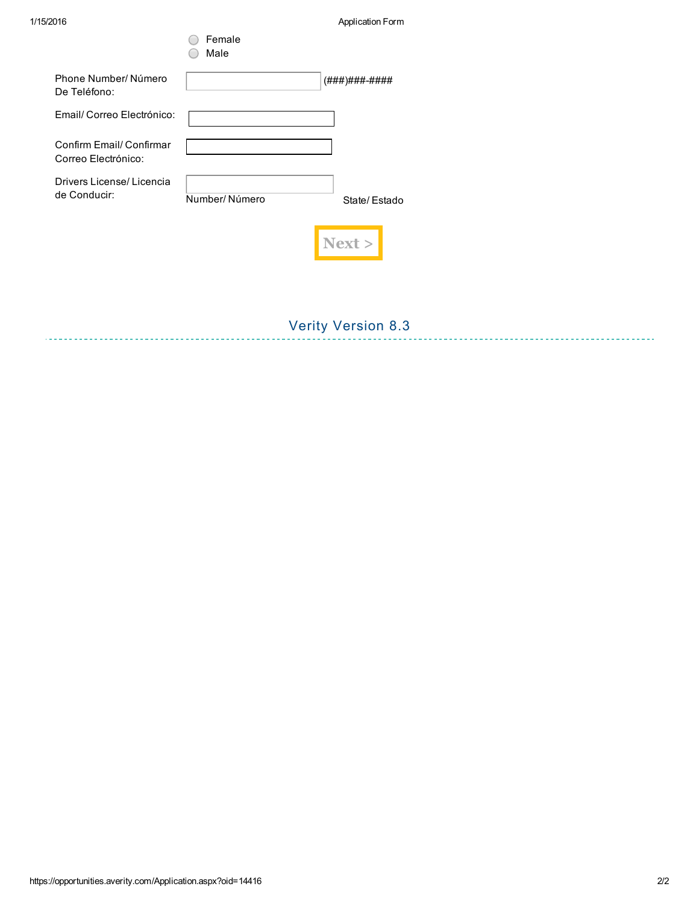1/15/2016 Application Form

|                                                 | Female<br>Male |               |
|-------------------------------------------------|----------------|---------------|
| Phone Number/Número<br>De Teléfono:             |                | (###)###-#### |
| Email/ Correo Electrónico:                      |                |               |
| Confirm Email/ Confirmar<br>Correo Electrónico: |                |               |
| Drivers License/Licencia<br>de Conducir:        | Number/Número  | State/Estado  |
|                                                 |                |               |

# Verity Version 8.3

--------------------------------------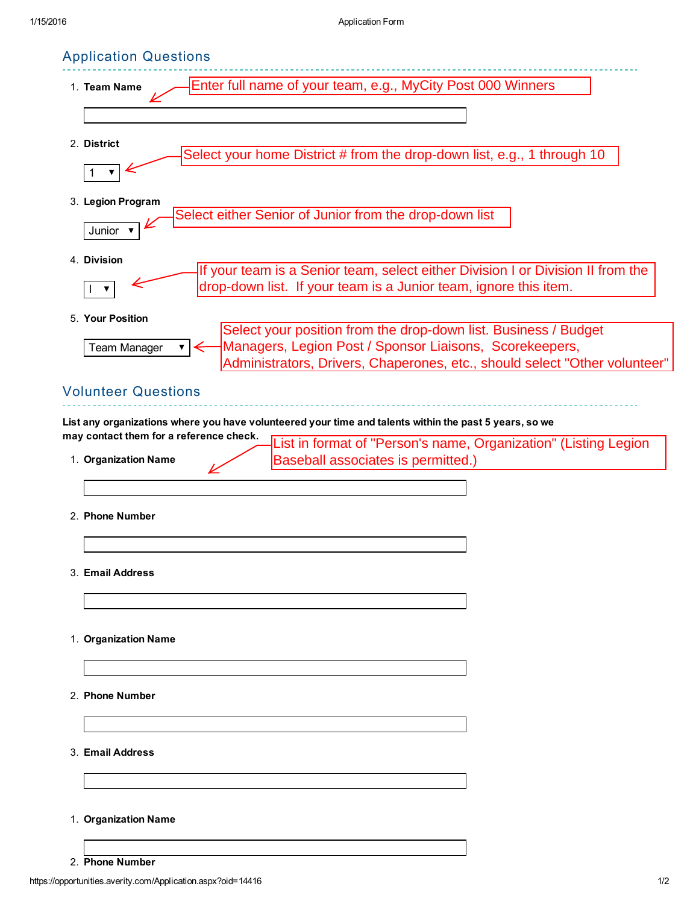# Application Questions

| Enter full name of your team, e.g., MyCity Post 000 Winners<br>1. Team Name                                                                                                                                              |  |
|--------------------------------------------------------------------------------------------------------------------------------------------------------------------------------------------------------------------------|--|
|                                                                                                                                                                                                                          |  |
| 2. District                                                                                                                                                                                                              |  |
| Select your home District # from the drop-down list, e.g., 1 through 10<br>▼                                                                                                                                             |  |
| 3. Legion Program<br>Select either Senior of Junior from the drop-down list<br>Junior                                                                                                                                    |  |
| 4. Division<br>If your team is a Senior team, select either Division I or Division II from the<br>drop-down list. If your team is a Junior team, ignore this item.                                                       |  |
| 5. Your Position                                                                                                                                                                                                         |  |
| Select your position from the drop-down list. Business / Budget<br>Managers, Legion Post / Sponsor Liaisons, Scorekeepers,<br>Team Manager<br>Administrators, Drivers, Chaperones, etc., should select "Other volunteer" |  |
| <b>Volunteer Questions</b>                                                                                                                                                                                               |  |
| List any organizations where you have volunteered your time and talents within the past 5 years, so we<br>may contact them for a reference check.<br>List in format of "Person's name, Organization" (Listing Legion     |  |
| Baseball associates is permitted.)<br>1. Organization Name                                                                                                                                                               |  |
|                                                                                                                                                                                                                          |  |
| 2. Phone Number                                                                                                                                                                                                          |  |
|                                                                                                                                                                                                                          |  |
| 3. Email Address                                                                                                                                                                                                         |  |
|                                                                                                                                                                                                                          |  |
| 1. Organization Name                                                                                                                                                                                                     |  |
|                                                                                                                                                                                                                          |  |
| 2. Phone Number                                                                                                                                                                                                          |  |
| 3. Email Address                                                                                                                                                                                                         |  |
|                                                                                                                                                                                                                          |  |
| 1. Organization Name                                                                                                                                                                                                     |  |
|                                                                                                                                                                                                                          |  |
| 2. Phone Number                                                                                                                                                                                                          |  |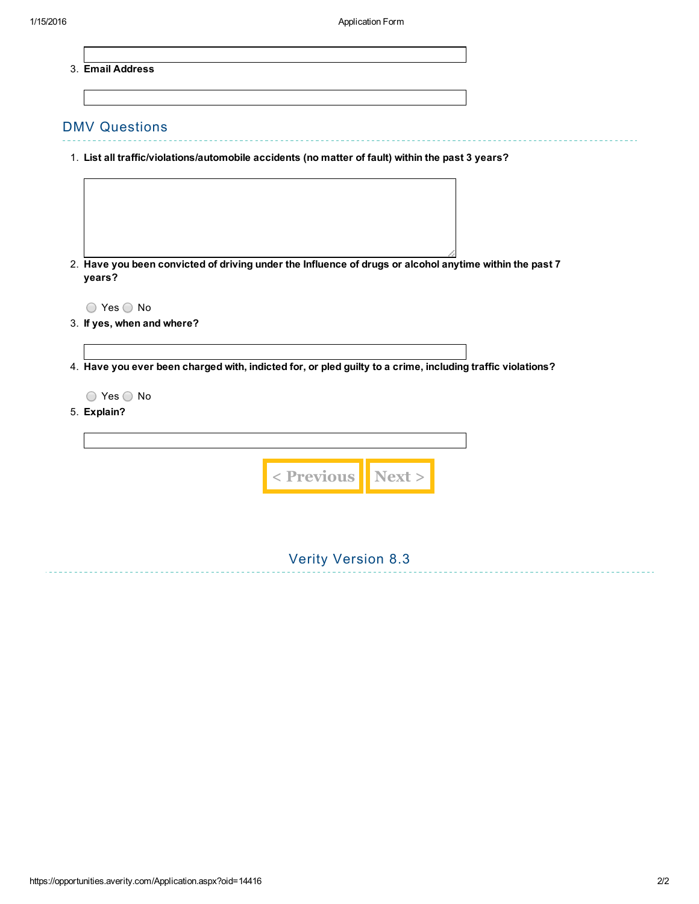3. Email Address

### DMV Questions

- 1. List all traffic/violations/automobile accidents (no matter of fault) within the past 3 years?
- 2. Have you been convicted of driving under the Influence of drugs or alcohol anytime within the past 7 years?

 $\bigcirc$  Yes  $\bigcirc$  No

- 3. If yes, when and where?
- 4. Have you ever been charged with, indicted for, or pled guilty to a crime, including traffic violations?

Verity Version 8.3

 $\bigcirc$  Yes  $\bigcirc$  No

5. Explain?

| < Previous Next > |  |
|-------------------|--|